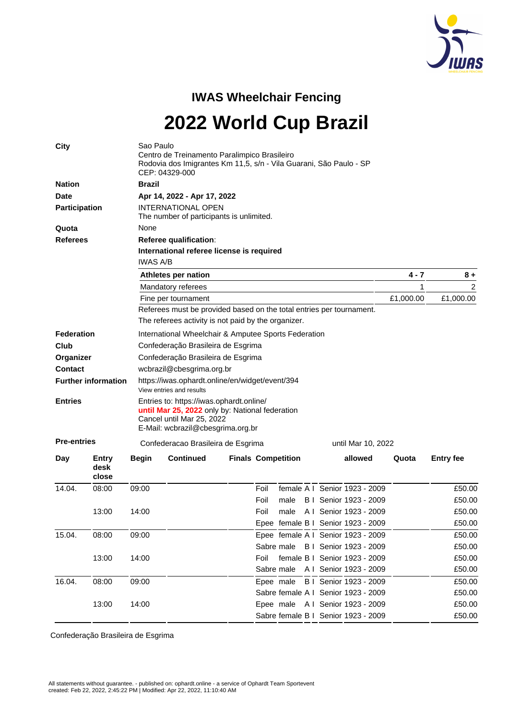

## **IWAS Wheelchair Fencing**

**2022 World Cup Brazil**

| <b>City</b>                |                        | Sao Paulo<br>Centro de Treinamento Paralimpico Brasileiro<br>Rodovia dos Imigrantes Km 11,5, s/n - Vila Guarani, São Paulo - SP<br>CEP: 04329-000 |                                                                                                                                                               |                           |      |      |  |  |                                     |       |                  |  |
|----------------------------|------------------------|---------------------------------------------------------------------------------------------------------------------------------------------------|---------------------------------------------------------------------------------------------------------------------------------------------------------------|---------------------------|------|------|--|--|-------------------------------------|-------|------------------|--|
| <b>Nation</b>              |                        | <b>Brazil</b>                                                                                                                                     |                                                                                                                                                               |                           |      |      |  |  |                                     |       |                  |  |
| <b>Date</b>                |                        |                                                                                                                                                   | Apr 14, 2022 - Apr 17, 2022                                                                                                                                   |                           |      |      |  |  |                                     |       |                  |  |
| <b>Participation</b>       |                        |                                                                                                                                                   | <b>INTERNATIONAL OPEN</b><br>The number of participants is unlimited.                                                                                         |                           |      |      |  |  |                                     |       |                  |  |
| Quota                      |                        | None                                                                                                                                              |                                                                                                                                                               |                           |      |      |  |  |                                     |       |                  |  |
| <b>Referees</b>            |                        |                                                                                                                                                   | <b>Referee qualification:</b>                                                                                                                                 |                           |      |      |  |  |                                     |       |                  |  |
|                            |                        | International referee license is required<br><b>IWAS A/B</b>                                                                                      |                                                                                                                                                               |                           |      |      |  |  |                                     |       |                  |  |
|                            |                        |                                                                                                                                                   | Athletes per nation                                                                                                                                           |                           |      |      |  |  |                                     |       | $8+$             |  |
|                            |                        |                                                                                                                                                   | Mandatory referees                                                                                                                                            |                           |      |      |  |  |                                     |       | 2                |  |
|                            |                        |                                                                                                                                                   | Fine per tournament                                                                                                                                           |                           |      |      |  |  |                                     |       | £1,000.00        |  |
|                            |                        |                                                                                                                                                   | Referees must be provided based on the total entries per tournament.                                                                                          |                           |      |      |  |  |                                     |       |                  |  |
|                            |                        |                                                                                                                                                   | The referees activity is not paid by the organizer.                                                                                                           |                           |      |      |  |  |                                     |       |                  |  |
| <b>Federation</b>          |                        |                                                                                                                                                   | International Wheelchair & Amputee Sports Federation                                                                                                          |                           |      |      |  |  |                                     |       |                  |  |
| Club                       |                        |                                                                                                                                                   | Confederação Brasileira de Esgrima                                                                                                                            |                           |      |      |  |  |                                     |       |                  |  |
| Organizer                  |                        |                                                                                                                                                   | Confederação Brasileira de Esgrima                                                                                                                            |                           |      |      |  |  |                                     |       |                  |  |
| <b>Contact</b>             |                        |                                                                                                                                                   | wcbrazil@cbesgrima.org.br                                                                                                                                     |                           |      |      |  |  |                                     |       |                  |  |
| <b>Further information</b> |                        |                                                                                                                                                   | https://iwas.ophardt.online/en/widget/event/394<br>View entries and results                                                                                   |                           |      |      |  |  |                                     |       |                  |  |
| <b>Entries</b>             |                        |                                                                                                                                                   | Entries to: https://iwas.ophardt.online/<br>until Mar 25, 2022 only by: National federation<br>Cancel until Mar 25, 2022<br>E-Mail: wcbrazil@cbesgrima.org.br |                           |      |      |  |  |                                     |       |                  |  |
| <b>Pre-entries</b>         |                        |                                                                                                                                                   | Confederacao Brasileira de Esgrima<br>until Mar 10, 2022                                                                                                      |                           |      |      |  |  |                                     |       |                  |  |
| Day                        | Entry<br>desk<br>close | <b>Begin</b>                                                                                                                                      | <b>Continued</b>                                                                                                                                              | <b>Finals Competition</b> |      |      |  |  | allowed                             | Quota | <b>Entry fee</b> |  |
| 14.04.                     | 08:00                  | 09:00                                                                                                                                             |                                                                                                                                                               |                           | Foil |      |  |  | female A I Senior 1923 - 2009       |       | £50.00           |  |
|                            |                        |                                                                                                                                                   |                                                                                                                                                               |                           | Foil | male |  |  | <b>B</b> I Senior 1923 - 2009       |       | £50.00           |  |
|                            | 13:00                  | 14:00                                                                                                                                             |                                                                                                                                                               |                           | Foil | male |  |  | A I Senior 1923 - 2009              |       | £50.00           |  |
|                            |                        |                                                                                                                                                   |                                                                                                                                                               |                           |      |      |  |  | Epee female B I Senior 1923 - 2009  |       | £50.00           |  |
| 15.04.                     | 08:00                  | 09:00                                                                                                                                             |                                                                                                                                                               |                           |      |      |  |  | Epee female A I Senior 1923 - 2009  |       | £50.00           |  |
|                            |                        |                                                                                                                                                   |                                                                                                                                                               |                           |      |      |  |  | Sabre male B I Senior 1923 - 2009   |       | £50.00           |  |
|                            | 13:00                  | 14:00                                                                                                                                             |                                                                                                                                                               |                           |      |      |  |  | Foil female B I Senior 1923 - 2009  |       | £50.00           |  |
|                            |                        |                                                                                                                                                   |                                                                                                                                                               |                           |      |      |  |  | Sabre male A I Senior 1923 - 2009   |       | £50.00           |  |
| 16.04.                     | 08:00                  | 09:00                                                                                                                                             |                                                                                                                                                               |                           |      |      |  |  | Epee male B I Senior 1923 - 2009    |       | £50.00           |  |
|                            |                        |                                                                                                                                                   |                                                                                                                                                               |                           |      |      |  |  | Sabre female A I Senior 1923 - 2009 |       | £50.00           |  |
|                            | 13:00                  | 14:00                                                                                                                                             |                                                                                                                                                               |                           |      |      |  |  | Epee male A I Senior 1923 - 2009    |       | £50.00           |  |
|                            |                        |                                                                                                                                                   |                                                                                                                                                               |                           |      |      |  |  | Sabre female B I Senior 1923 - 2009 |       | £50.00           |  |
|                            |                        |                                                                                                                                                   |                                                                                                                                                               |                           |      |      |  |  |                                     |       |                  |  |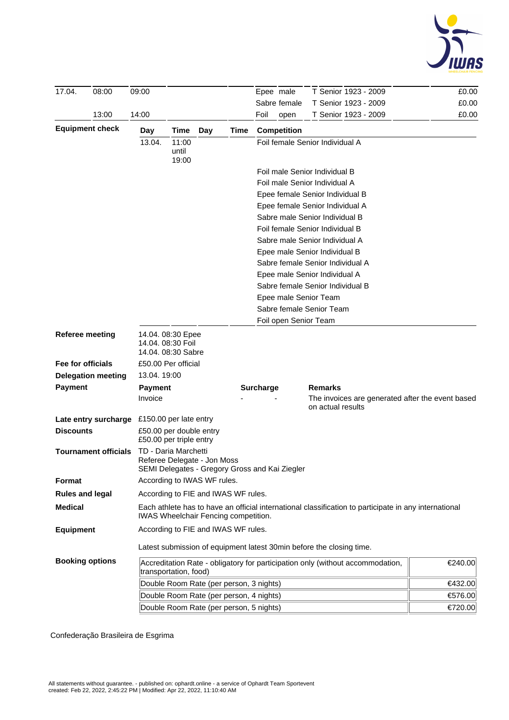

| 17.04.                 | 08:00                       | 09:00                                                                                                                                         |                                                                                                       |     |                       | Epee male                                        | T Senior 1923 - 2009                                                           | £0.00   |  |  |
|------------------------|-----------------------------|-----------------------------------------------------------------------------------------------------------------------------------------------|-------------------------------------------------------------------------------------------------------|-----|-----------------------|--------------------------------------------------|--------------------------------------------------------------------------------|---------|--|--|
|                        |                             |                                                                                                                                               |                                                                                                       |     |                       | Sabre female                                     | T Senior 1923 - 2009                                                           | £0.00   |  |  |
|                        | 13:00                       | 14:00                                                                                                                                         |                                                                                                       |     |                       | Foil<br>open                                     | T Senior 1923 - 2009                                                           | £0.00   |  |  |
| <b>Equipment check</b> |                             | Day                                                                                                                                           | Time                                                                                                  | Day | Time                  | <b>Competition</b>                               |                                                                                |         |  |  |
|                        |                             | 13.04.                                                                                                                                        | 11:00<br>until                                                                                        |     |                       |                                                  | Foil female Senior Individual A                                                |         |  |  |
|                        |                             |                                                                                                                                               | 19:00                                                                                                 |     |                       |                                                  |                                                                                |         |  |  |
|                        |                             |                                                                                                                                               |                                                                                                       |     |                       |                                                  | Foil male Senior Individual B                                                  |         |  |  |
|                        |                             |                                                                                                                                               |                                                                                                       |     |                       |                                                  | Foil male Senior Individual A                                                  |         |  |  |
|                        |                             |                                                                                                                                               |                                                                                                       |     |                       |                                                  | Epee female Senior Individual B                                                |         |  |  |
|                        |                             |                                                                                                                                               |                                                                                                       |     |                       |                                                  | Epee female Senior Individual A<br>Sabre male Senior Individual B              |         |  |  |
|                        |                             |                                                                                                                                               |                                                                                                       |     |                       |                                                  | Foil female Senior Individual B                                                |         |  |  |
|                        |                             |                                                                                                                                               |                                                                                                       |     |                       |                                                  | Sabre male Senior Individual A                                                 |         |  |  |
|                        |                             |                                                                                                                                               |                                                                                                       |     |                       |                                                  | Epee male Senior Individual B                                                  |         |  |  |
|                        |                             |                                                                                                                                               |                                                                                                       |     |                       |                                                  | Sabre female Senior Individual A                                               |         |  |  |
|                        |                             |                                                                                                                                               |                                                                                                       |     |                       |                                                  | Epee male Senior Individual A                                                  |         |  |  |
|                        |                             |                                                                                                                                               |                                                                                                       |     |                       |                                                  | Sabre female Senior Individual B                                               |         |  |  |
|                        |                             |                                                                                                                                               |                                                                                                       |     |                       | Epee male Senior Team                            |                                                                                |         |  |  |
|                        |                             |                                                                                                                                               |                                                                                                       |     |                       | Sabre female Senior Team                         |                                                                                |         |  |  |
|                        |                             |                                                                                                                                               |                                                                                                       |     | Foil open Senior Team |                                                  |                                                                                |         |  |  |
|                        | <b>Referee meeting</b>      |                                                                                                                                               | 14.04. 08:30 Epee<br>14.04. 08:30 Foil<br>14.04. 08:30 Sabre                                          |     |                       |                                                  |                                                                                |         |  |  |
| Fee for officials      |                             |                                                                                                                                               | £50.00 Per official                                                                                   |     |                       |                                                  |                                                                                |         |  |  |
|                        | <b>Delegation meeting</b>   | 13.04. 19:00                                                                                                                                  |                                                                                                       |     |                       |                                                  |                                                                                |         |  |  |
| <b>Payment</b>         |                             | <b>Payment</b>                                                                                                                                |                                                                                                       |     |                       | <b>Surcharge</b>                                 | Remarks                                                                        |         |  |  |
|                        |                             | Invoice                                                                                                                                       |                                                                                                       |     |                       | The invoices are generated after the event based |                                                                                |         |  |  |
|                        | Late entry surcharge        | £150.00 per late entry                                                                                                                        |                                                                                                       |     |                       |                                                  |                                                                                |         |  |  |
| <b>Discounts</b>       |                             |                                                                                                                                               | £50.00 per double entry<br>£50.00 per triple entry                                                    |     |                       |                                                  |                                                                                |         |  |  |
|                        | <b>Tournament officials</b> |                                                                                                                                               | TD - Daria Marchetti<br>Referee Delegate - Jon Moss<br>SEMI Delegates - Gregory Gross and Kai Ziegler |     |                       |                                                  |                                                                                |         |  |  |
| Format                 |                             |                                                                                                                                               | According to IWAS WF rules.                                                                           |     |                       |                                                  |                                                                                |         |  |  |
| <b>Rules and legal</b> |                             |                                                                                                                                               | According to FIE and IWAS WF rules.                                                                   |     |                       |                                                  |                                                                                |         |  |  |
| <b>Medical</b>         |                             | Each athlete has to have an official international classification to participate in any international<br>IWAS Wheelchair Fencing competition. |                                                                                                       |     |                       |                                                  |                                                                                |         |  |  |
| <b>Equipment</b>       |                             |                                                                                                                                               | According to FIE and IWAS WF rules.                                                                   |     |                       |                                                  |                                                                                |         |  |  |
|                        |                             |                                                                                                                                               |                                                                                                       |     |                       |                                                  | Latest submission of equipment latest 30min before the closing time.           |         |  |  |
| <b>Booking options</b> |                             |                                                                                                                                               | transportation, food)                                                                                 |     |                       |                                                  | Accreditation Rate - obligatory for participation only (without accommodation, | €240.00 |  |  |
|                        |                             |                                                                                                                                               | Double Room Rate (per person, 3 nights)<br>€432.00                                                    |     |                       |                                                  |                                                                                |         |  |  |
|                        |                             |                                                                                                                                               | Double Room Rate (per person, 4 nights)<br>€576.00                                                    |     |                       |                                                  |                                                                                |         |  |  |
|                        |                             | Double Room Rate (per person, 5 nights)                                                                                                       | €720.00                                                                                               |     |                       |                                                  |                                                                                |         |  |  |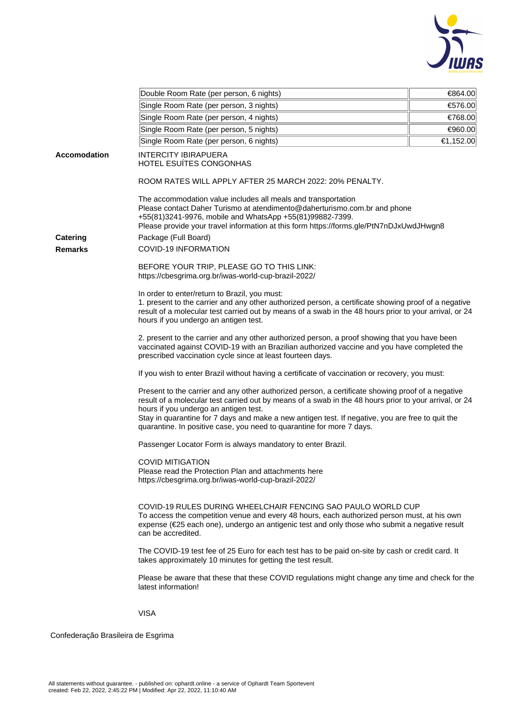

|                     | Double Room Rate (per person, 6 nights)                                                                                                                                                                                                                                                                                                                                                                                           | €864.00                                                                                         |  |  |  |  |  |  |  |
|---------------------|-----------------------------------------------------------------------------------------------------------------------------------------------------------------------------------------------------------------------------------------------------------------------------------------------------------------------------------------------------------------------------------------------------------------------------------|-------------------------------------------------------------------------------------------------|--|--|--|--|--|--|--|
|                     | Single Room Rate (per person, 3 nights)                                                                                                                                                                                                                                                                                                                                                                                           | €576.00                                                                                         |  |  |  |  |  |  |  |
|                     | Single Room Rate (per person, 4 nights)                                                                                                                                                                                                                                                                                                                                                                                           | €768.00                                                                                         |  |  |  |  |  |  |  |
|                     | Single Room Rate (per person, 5 nights)<br>Single Room Rate (per person, 6 nights)                                                                                                                                                                                                                                                                                                                                                |                                                                                                 |  |  |  |  |  |  |  |
|                     |                                                                                                                                                                                                                                                                                                                                                                                                                                   |                                                                                                 |  |  |  |  |  |  |  |
| <b>Accomodation</b> | €1,152.00<br><b>INTERCITY IBIRAPUERA</b><br>HOTEL ESUÍTES CONGONHAS                                                                                                                                                                                                                                                                                                                                                               |                                                                                                 |  |  |  |  |  |  |  |
|                     | ROOM RATES WILL APPLY AFTER 25 MARCH 2022: 20% PENALTY.                                                                                                                                                                                                                                                                                                                                                                           |                                                                                                 |  |  |  |  |  |  |  |
|                     | The accommodation value includes all meals and transportation<br>Please contact Daher Turismo at atendimento@daherturismo.com.br and phone<br>+55(81)3241-9976, mobile and WhatsApp +55(81)99882-7399.<br>Please provide your travel information at this form https://forms.gle/PtN7nDJxUwdJHwgn8                                                                                                                                 |                                                                                                 |  |  |  |  |  |  |  |
| <b>Catering</b>     | Package (Full Board)                                                                                                                                                                                                                                                                                                                                                                                                              |                                                                                                 |  |  |  |  |  |  |  |
| <b>Remarks</b>      | <b>COVID-19 INFORMATION</b>                                                                                                                                                                                                                                                                                                                                                                                                       |                                                                                                 |  |  |  |  |  |  |  |
|                     | BEFORE YOUR TRIP, PLEASE GO TO THIS LINK:<br>https://cbesgrima.org.br/iwas-world-cup-brazil-2022/                                                                                                                                                                                                                                                                                                                                 |                                                                                                 |  |  |  |  |  |  |  |
|                     | In order to enter/return to Brazil, you must:<br>1. present to the carrier and any other authorized person, a certificate showing proof of a negative<br>result of a molecular test carried out by means of a swab in the 48 hours prior to your arrival, or 24<br>hours if you undergo an antigen test.                                                                                                                          |                                                                                                 |  |  |  |  |  |  |  |
|                     | 2. present to the carrier and any other authorized person, a proof showing that you have been<br>vaccinated against COVID-19 with an Brazilian authorized vaccine and you have completed the<br>prescribed vaccination cycle since at least fourteen days.                                                                                                                                                                        |                                                                                                 |  |  |  |  |  |  |  |
|                     |                                                                                                                                                                                                                                                                                                                                                                                                                                   | If you wish to enter Brazil without having a certificate of vaccination or recovery, you must:  |  |  |  |  |  |  |  |
|                     | Present to the carrier and any other authorized person, a certificate showing proof of a negative<br>result of a molecular test carried out by means of a swab in the 48 hours prior to your arrival, or 24<br>hours if you undergo an antigen test.<br>Stay in quarantine for 7 days and make a new antigen test. If negative, you are free to quit the<br>quarantine. In positive case, you need to quarantine for more 7 days. |                                                                                                 |  |  |  |  |  |  |  |
|                     | Passenger Locator Form is always mandatory to enter Brazil.                                                                                                                                                                                                                                                                                                                                                                       |                                                                                                 |  |  |  |  |  |  |  |
|                     | <b>COVID MITIGATION</b><br>Please read the Protection Plan and attachments here<br>https://cbesgrima.org.br/iwas-world-cup-brazil-2022/                                                                                                                                                                                                                                                                                           |                                                                                                 |  |  |  |  |  |  |  |
|                     | COVID-19 RULES DURING WHEELCHAIR FENCING SAO PAULO WORLD CUP<br>To access the competition venue and every 48 hours, each authorized person must, at his own<br>expense (€25 each one), undergo an antigenic test and only those who submit a negative result<br>can be accredited.                                                                                                                                                |                                                                                                 |  |  |  |  |  |  |  |
|                     | The COVID-19 test fee of 25 Euro for each test has to be paid on-site by cash or credit card. It<br>takes approximately 10 minutes for getting the test result.                                                                                                                                                                                                                                                                   |                                                                                                 |  |  |  |  |  |  |  |
|                     | latest information!                                                                                                                                                                                                                                                                                                                                                                                                               | Please be aware that these that these COVID regulations might change any time and check for the |  |  |  |  |  |  |  |
|                     | <b>VISA</b>                                                                                                                                                                                                                                                                                                                                                                                                                       |                                                                                                 |  |  |  |  |  |  |  |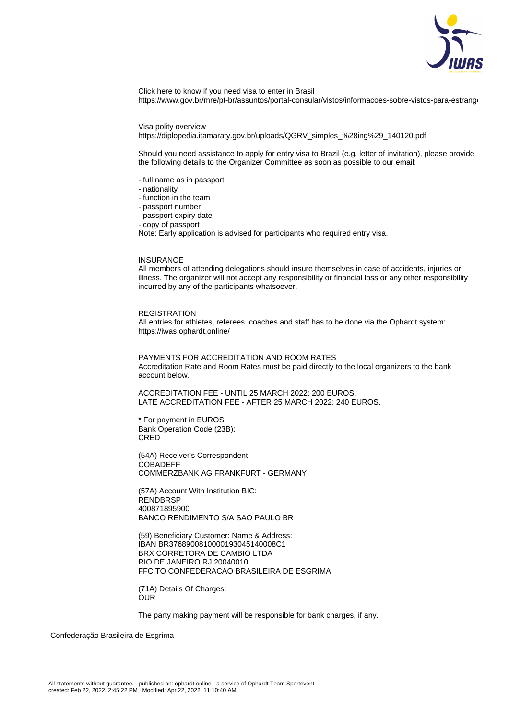

Click here to know if you need visa to enter in Brasil https://www.gov.br/mre/pt-br/assuntos/portal-consular/vistos/informacoes-sobre-vistos-para-estrange

Visa polity overview

https://diplopedia.itamaraty.gov.br/uploads/QGRV\_simples\_%28ing%29\_140120.pdf

Should you need assistance to apply for entry visa to Brazil (e.g. letter of invitation), please provide the following details to the Organizer Committee as soon as possible to our email:

- full name as in passport
- nationality
- function in the team
- passport number
- passport expiry date
- copy of passport

Note: Early application is advised for participants who required entry visa.

## INSURANCE

All members of attending delegations should insure themselves in case of accidents, injuries or illness. The organizer will not accept any responsibility or financial loss or any other responsibility incurred by any of the participants whatsoever.

## REGISTRATION

All entries for athletes, referees, coaches and staff has to be done via the Ophardt system: https://iwas.ophardt.online/

PAYMENTS FOR ACCREDITATION AND ROOM RATES Accreditation Rate and Room Rates must be paid directly to the local organizers to the bank account below.

ACCREDITATION FEE - UNTIL 25 MARCH 2022: 200 EUROS. LATE ACCREDITATION FEE - AFTER 25 MARCH 2022: 240 EUROS.

\* For payment in EUROS Bank Operation Code (23B): CRED

(54A) Receiver's Correspondent: **COBADEFF** COMMERZBANK AG FRANKFURT - GERMANY

(57A) Account With Institution BIC: **RENDBRSP** 400871895900 BANCO RENDIMENTO S/A SAO PAULO BR

(59) Beneficiary Customer: Name & Address: IBAN BR3768900810000193045140008C1 BRX CORRETORA DE CAMBIO LTDA RIO DE JANEIRO RJ 20040010 FFC TO CONFEDERACAO BRASILEIRA DE ESGRIMA

(71A) Details Of Charges: **OUR** 

The party making payment will be responsible for bank charges, if any.